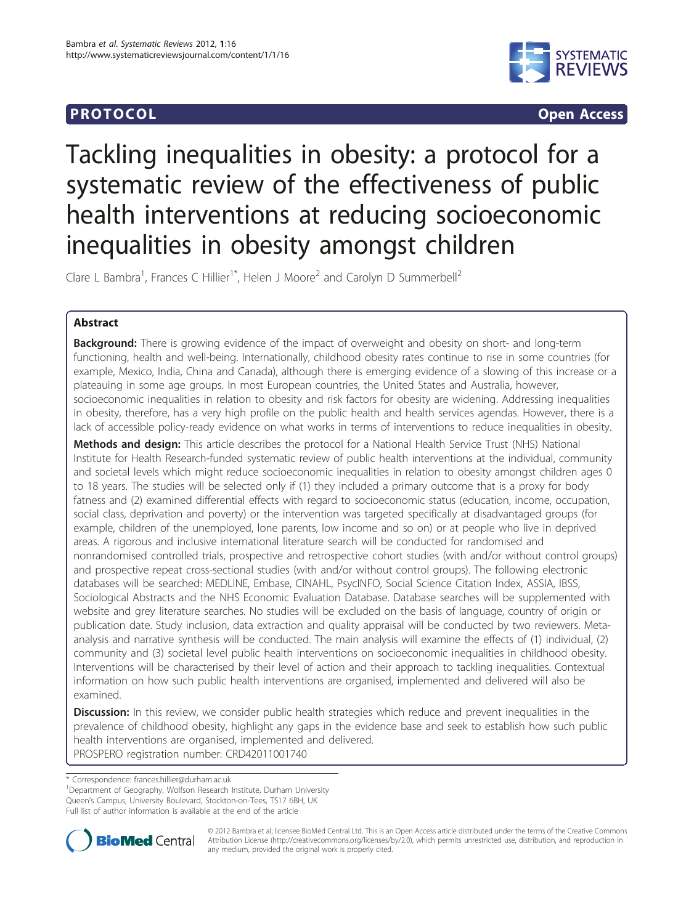## **PROTOCOL CONSUMING ACCESS**



# Tackling inequalities in obesity: a protocol for a systematic review of the effectiveness of public health interventions at reducing socioeconomic inequalities in obesity amongst children

Clare L Bambra<sup>1</sup>, Frances C Hillier<sup>1\*</sup>, Helen J Moore<sup>2</sup> and Carolyn D Summerbell<sup>2</sup>

## Abstract

**Background:** There is growing evidence of the impact of overweight and obesity on short- and long-term functioning, health and well-being. Internationally, childhood obesity rates continue to rise in some countries (for example, Mexico, India, China and Canada), although there is emerging evidence of a slowing of this increase or a plateauing in some age groups. In most European countries, the United States and Australia, however, socioeconomic inequalities in relation to obesity and risk factors for obesity are widening. Addressing inequalities in obesity, therefore, has a very high profile on the public health and health services agendas. However, there is a lack of accessible policy-ready evidence on what works in terms of interventions to reduce inequalities in obesity.

Methods and design: This article describes the protocol for a National Health Service Trust (NHS) National Institute for Health Research-funded systematic review of public health interventions at the individual, community and societal levels which might reduce socioeconomic inequalities in relation to obesity amongst children ages 0 to 18 years. The studies will be selected only if (1) they included a primary outcome that is a proxy for body fatness and (2) examined differential effects with regard to socioeconomic status (education, income, occupation, social class, deprivation and poverty) or the intervention was targeted specifically at disadvantaged groups (for example, children of the unemployed, lone parents, low income and so on) or at people who live in deprived areas. A rigorous and inclusive international literature search will be conducted for randomised and nonrandomised controlled trials, prospective and retrospective cohort studies (with and/or without control groups) and prospective repeat cross-sectional studies (with and/or without control groups). The following electronic databases will be searched: MEDLINE, Embase, CINAHL, PsycINFO, Social Science Citation Index, ASSIA, IBSS, Sociological Abstracts and the NHS Economic Evaluation Database. Database searches will be supplemented with website and grey literature searches. No studies will be excluded on the basis of language, country of origin or publication date. Study inclusion, data extraction and quality appraisal will be conducted by two reviewers. Metaanalysis and narrative synthesis will be conducted. The main analysis will examine the effects of (1) individual, (2) community and (3) societal level public health interventions on socioeconomic inequalities in childhood obesity. Interventions will be characterised by their level of action and their approach to tackling inequalities. Contextual information on how such public health interventions are organised, implemented and delivered will also be examined.

Discussion: In this review, we consider public health strategies which reduce and prevent inequalities in the prevalence of childhood obesity, highlight any gaps in the evidence base and seek to establish how such public health interventions are organised, implemented and delivered. PROSPERO registration number: CRD42011001740

Correspondence: [frances.hillier@durham.ac.uk](mailto:frances.hillier@durham.ac.uk)

<sup>1</sup>Department of Geography, Wolfson Research Institute, Durham University Queen's Campus, University Boulevard, Stockton-on-Tees, TS17 6BH, UK Full list of author information is available at the end of the article



© 2012 Bambra et al; licensee BioMed Central Ltd. This is an Open Access article distributed under the terms of the Creative Commons Attribution License [\(http://creativecommons.org/licenses/by/2.0](http://creativecommons.org/licenses/by/2.0)), which permits unrestricted use, distribution, and reproduction in any medium, provided the original work is properly cited.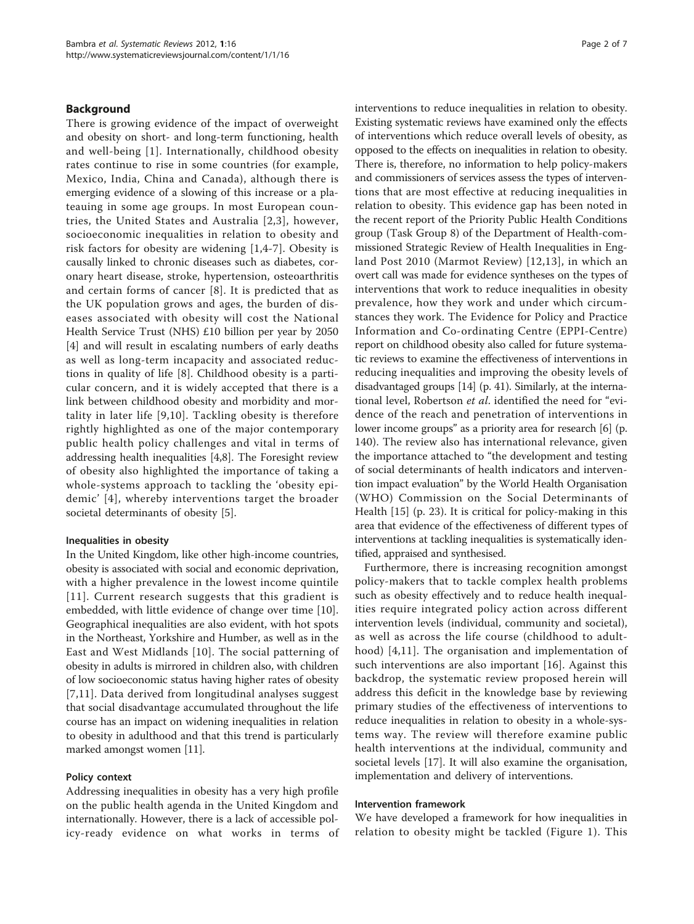## Background

There is growing evidence of the impact of overweight and obesity on short- and long-term functioning, health and well-being [[1](#page-5-0)]. Internationally, childhood obesity rates continue to rise in some countries (for example, Mexico, India, China and Canada), although there is emerging evidence of a slowing of this increase or a plateauing in some age groups. In most European countries, the United States and Australia [[2](#page-5-0),[3](#page-5-0)], however, socioeconomic inequalities in relation to obesity and risk factors for obesity are widening [[1,4-7](#page-5-0)]. Obesity is causally linked to chronic diseases such as diabetes, coronary heart disease, stroke, hypertension, osteoarthritis and certain forms of cancer [\[8\]](#page-5-0). It is predicted that as the UK population grows and ages, the burden of diseases associated with obesity will cost the National Health Service Trust (NHS) £10 billion per year by 2050 [[4\]](#page-5-0) and will result in escalating numbers of early deaths as well as long-term incapacity and associated reductions in quality of life [\[8](#page-5-0)]. Childhood obesity is a particular concern, and it is widely accepted that there is a link between childhood obesity and morbidity and mortality in later life [[9](#page-6-0),[10](#page-6-0)]. Tackling obesity is therefore rightly highlighted as one of the major contemporary public health policy challenges and vital in terms of addressing health inequalities [[4](#page-5-0),[8](#page-5-0)]. The Foresight review of obesity also highlighted the importance of taking a whole-systems approach to tackling the 'obesity epidemic' [[4\]](#page-5-0), whereby interventions target the broader societal determinants of obesity [[5\]](#page-5-0).

#### Inequalities in obesity

In the United Kingdom, like other high-income countries, obesity is associated with social and economic deprivation, with a higher prevalence in the lowest income quintile [[11\]](#page-6-0). Current research suggests that this gradient is embedded, with little evidence of change over time [\[10](#page-6-0)]. Geographical inequalities are also evident, with hot spots in the Northeast, Yorkshire and Humber, as well as in the East and West Midlands [[10\]](#page-6-0). The social patterning of obesity in adults is mirrored in children also, with children of low socioeconomic status having higher rates of obesity [[7](#page-5-0),[11\]](#page-6-0). Data derived from longitudinal analyses suggest that social disadvantage accumulated throughout the life course has an impact on widening inequalities in relation to obesity in adulthood and that this trend is particularly marked amongst women [\[11\]](#page-6-0).

#### Policy context

Addressing inequalities in obesity has a very high profile on the public health agenda in the United Kingdom and internationally. However, there is a lack of accessible policy-ready evidence on what works in terms of interventions to reduce inequalities in relation to obesity. Existing systematic reviews have examined only the effects of interventions which reduce overall levels of obesity, as opposed to the effects on inequalities in relation to obesity. There is, therefore, no information to help policy-makers and commissioners of services assess the types of interventions that are most effective at reducing inequalities in relation to obesity. This evidence gap has been noted in the recent report of the Priority Public Health Conditions group (Task Group 8) of the Department of Health-commissioned Strategic Review of Health Inequalities in England Post 2010 (Marmot Review) [[12,13\]](#page-6-0), in which an overt call was made for evidence syntheses on the types of interventions that work to reduce inequalities in obesity prevalence, how they work and under which circumstances they work. The Evidence for Policy and Practice Information and Co-ordinating Centre (EPPI-Centre) report on childhood obesity also called for future systematic reviews to examine the effectiveness of interventions in reducing inequalities and improving the obesity levels of disadvantaged groups [\[14\]](#page-6-0) (p. 41). Similarly, at the international level, Robertson et al. identified the need for "evidence of the reach and penetration of interventions in lower income groups" as a priority area for research [[6](#page-5-0)] (p. 140). The review also has international relevance, given the importance attached to "the development and testing of social determinants of health indicators and intervention impact evaluation" by the World Health Organisation (WHO) Commission on the Social Determinants of Health [[15](#page-6-0)] (p. 23). It is critical for policy-making in this area that evidence of the effectiveness of different types of interventions at tackling inequalities is systematically identified, appraised and synthesised.

Furthermore, there is increasing recognition amongst policy-makers that to tackle complex health problems such as obesity effectively and to reduce health inequalities require integrated policy action across different intervention levels (individual, community and societal), as well as across the life course (childhood to adulthood) [[4,](#page-5-0)[11](#page-6-0)]. The organisation and implementation of such interventions are also important [[16\]](#page-6-0). Against this backdrop, the systematic review proposed herein will address this deficit in the knowledge base by reviewing primary studies of the effectiveness of interventions to reduce inequalities in relation to obesity in a whole-systems way. The review will therefore examine public health interventions at the individual, community and societal levels [\[17\]](#page-6-0). It will also examine the organisation, implementation and delivery of interventions.

#### Intervention framework

We have developed a framework for how inequalities in relation to obesity might be tackled (Figure [1](#page-2-0)). This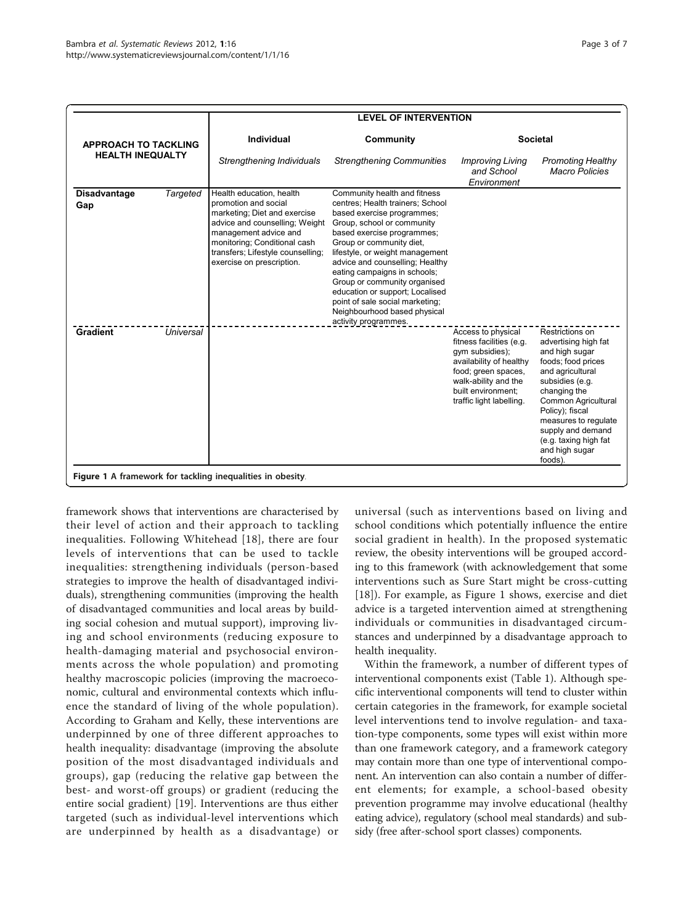<span id="page-2-0"></span>

|                                                        |                  | <b>LEVEL OF INTERVENTION</b>                                                                                                                                                                                                                  |                                                                                                                                                                                                                                                                                                                                                                                                                                                            |                                                                                                                                                                                               |                                                                                                                                                                                                                                                                                     |  |
|--------------------------------------------------------|------------------|-----------------------------------------------------------------------------------------------------------------------------------------------------------------------------------------------------------------------------------------------|------------------------------------------------------------------------------------------------------------------------------------------------------------------------------------------------------------------------------------------------------------------------------------------------------------------------------------------------------------------------------------------------------------------------------------------------------------|-----------------------------------------------------------------------------------------------------------------------------------------------------------------------------------------------|-------------------------------------------------------------------------------------------------------------------------------------------------------------------------------------------------------------------------------------------------------------------------------------|--|
| <b>APPROACH TO TACKLING</b><br><b>HEALTH INEQUALTY</b> |                  | <b>Individual</b>                                                                                                                                                                                                                             | Community                                                                                                                                                                                                                                                                                                                                                                                                                                                  | <b>Societal</b>                                                                                                                                                                               |                                                                                                                                                                                                                                                                                     |  |
|                                                        |                  | Strengthening Individuals                                                                                                                                                                                                                     | <b>Strengthening Communities</b>                                                                                                                                                                                                                                                                                                                                                                                                                           | <b>Improving Living</b><br>and School<br>Environment                                                                                                                                          | <b>Promoting Healthy</b><br><b>Macro Policies</b>                                                                                                                                                                                                                                   |  |
| <b>Disadvantage</b><br>Gap                             | <b>Targeted</b>  | Health education, health<br>promotion and social<br>marketing; Diet and exercise<br>advice and counselling; Weight<br>management advice and<br>monitoring; Conditional cash<br>transfers; Lifestyle counselling;<br>exercise on prescription. | Community health and fitness<br>centres; Health trainers; School<br>based exercise programmes;<br>Group, school or community<br>based exercise programmes;<br>Group or community diet,<br>lifestyle, or weight management<br>advice and counselling; Healthy<br>eating campaigns in schools;<br>Group or community organised<br>education or support; Localised<br>point of sale social marketing;<br>Neighbourhood based physical<br>activity programmes. |                                                                                                                                                                                               |                                                                                                                                                                                                                                                                                     |  |
| Gradient                                               | <b>Universal</b> |                                                                                                                                                                                                                                               |                                                                                                                                                                                                                                                                                                                                                                                                                                                            | Access to physical<br>fitness facilities (e.g.<br>qym subsidies);<br>availability of healthy<br>food; green spaces,<br>walk-ability and the<br>built environment:<br>traffic light labelling. | Restrictions on<br>advertising high fat<br>and high sugar<br>foods; food prices<br>and agricultural<br>subsidies (e.g.<br>changing the<br>Common Agricultural<br>Policy); fiscal<br>measures to regulate<br>supply and demand<br>(e.g. taxing high fat<br>and high sugar<br>foods). |  |

framework shows that interventions are characterised by their level of action and their approach to tackling inequalities. Following Whitehead [[18](#page-6-0)], there are four levels of interventions that can be used to tackle inequalities: strengthening individuals (person-based strategies to improve the health of disadvantaged individuals), strengthening communities (improving the health of disadvantaged communities and local areas by building social cohesion and mutual support), improving living and school environments (reducing exposure to health-damaging material and psychosocial environments across the whole population) and promoting healthy macroscopic policies (improving the macroeconomic, cultural and environmental contexts which influence the standard of living of the whole population). According to Graham and Kelly, these interventions are underpinned by one of three different approaches to health inequality: disadvantage (improving the absolute position of the most disadvantaged individuals and groups), gap (reducing the relative gap between the best- and worst-off groups) or gradient (reducing the entire social gradient) [[19](#page-6-0)]. Interventions are thus either targeted (such as individual-level interventions which are underpinned by health as a disadvantage) or universal (such as interventions based on living and school conditions which potentially influence the entire social gradient in health). In the proposed systematic review, the obesity interventions will be grouped according to this framework (with acknowledgement that some interventions such as Sure Start might be cross-cutting [[18\]](#page-6-0)). For example, as Figure 1 shows, exercise and diet advice is a targeted intervention aimed at strengthening individuals or communities in disadvantaged circumstances and underpinned by a disadvantage approach to health inequality.

Within the framework, a number of different types of interventional components exist (Table [1](#page-3-0)). Although specific interventional components will tend to cluster within certain categories in the framework, for example societal level interventions tend to involve regulation- and taxation-type components, some types will exist within more than one framework category, and a framework category may contain more than one type of interventional component. An intervention can also contain a number of different elements; for example, a school-based obesity prevention programme may involve educational (healthy eating advice), regulatory (school meal standards) and subsidy (free after-school sport classes) components.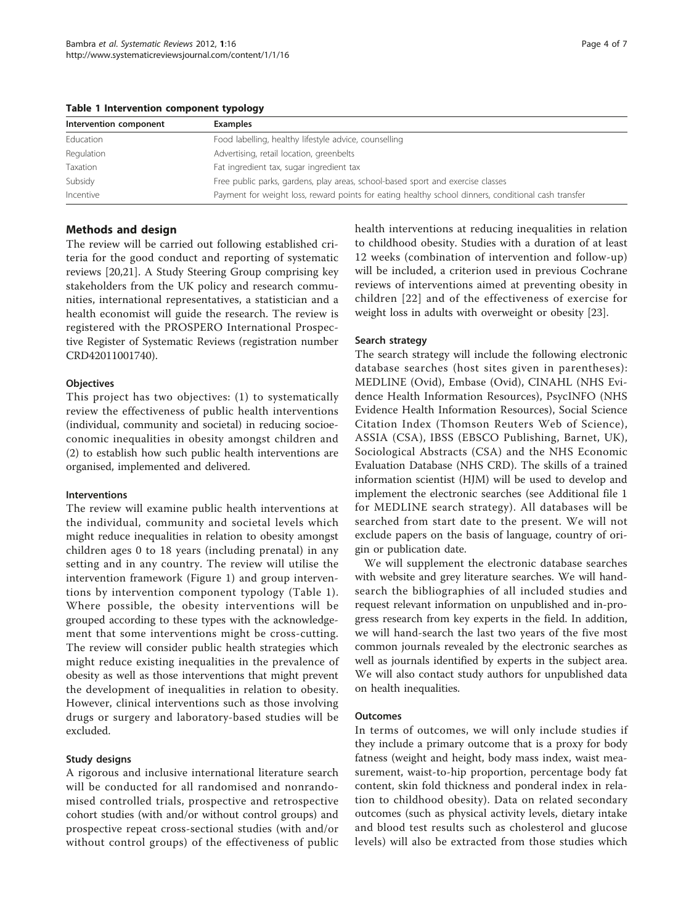<span id="page-3-0"></span>

| Table 1 Intervention component typology |                 |  |  |  |
|-----------------------------------------|-----------------|--|--|--|
| Intervention component                  | <b>Examples</b> |  |  |  |

| Intervention component | <b>Examples</b>                                                                                     |  |
|------------------------|-----------------------------------------------------------------------------------------------------|--|
| Education              | Food labelling, healthy lifestyle advice, counselling                                               |  |
| Regulation             | Advertising, retail location, greenbelts                                                            |  |
| Taxation               | Fat ingredient tax, sugar ingredient tax                                                            |  |
| Subsidy                | Free public parks, gardens, play areas, school-based sport and exercise classes                     |  |
| Incentive              | Payment for weight loss, reward points for eating healthy school dinners, conditional cash transfer |  |

## Methods and design

The review will be carried out following established criteria for the good conduct and reporting of systematic reviews [[20](#page-6-0),[21](#page-6-0)]. A Study Steering Group comprising key stakeholders from the UK policy and research communities, international representatives, a statistician and a health economist will guide the research. The review is registered with the PROSPERO International Prospective Register of Systematic Reviews (registration number CRD42011001740).

## **Objectives**

This project has two objectives: (1) to systematically review the effectiveness of public health interventions (individual, community and societal) in reducing socioeconomic inequalities in obesity amongst children and (2) to establish how such public health interventions are organised, implemented and delivered.

#### Interventions

The review will examine public health interventions at the individual, community and societal levels which might reduce inequalities in relation to obesity amongst children ages 0 to 18 years (including prenatal) in any setting and in any country. The review will utilise the intervention framework (Figure [1\)](#page-2-0) and group interventions by intervention component typology (Table 1). Where possible, the obesity interventions will be grouped according to these types with the acknowledgement that some interventions might be cross-cutting. The review will consider public health strategies which might reduce existing inequalities in the prevalence of obesity as well as those interventions that might prevent the development of inequalities in relation to obesity. However, clinical interventions such as those involving drugs or surgery and laboratory-based studies will be excluded.

## Study designs

A rigorous and inclusive international literature search will be conducted for all randomised and nonrandomised controlled trials, prospective and retrospective cohort studies (with and/or without control groups) and prospective repeat cross-sectional studies (with and/or without control groups) of the effectiveness of public health interventions at reducing inequalities in relation to childhood obesity. Studies with a duration of at least 12 weeks (combination of intervention and follow-up) will be included, a criterion used in previous Cochrane reviews of interventions aimed at preventing obesity in children [[22\]](#page-6-0) and of the effectiveness of exercise for weight loss in adults with overweight or obesity [[23](#page-6-0)].

## Search strategy

The search strategy will include the following electronic database searches (host sites given in parentheses): MEDLINE (Ovid), Embase (Ovid), CINAHL (NHS Evidence Health Information Resources), PsycINFO (NHS Evidence Health Information Resources), Social Science Citation Index (Thomson Reuters Web of Science), ASSIA (CSA), IBSS (EBSCO Publishing, Barnet, UK), Sociological Abstracts (CSA) and the NHS Economic Evaluation Database (NHS CRD). The skills of a trained information scientist (HJM) will be used to develop and implement the electronic searches (see Additional file [1](#page-5-0) for MEDLINE search strategy). All databases will be searched from start date to the present. We will not exclude papers on the basis of language, country of origin or publication date.

We will supplement the electronic database searches with website and grey literature searches. We will handsearch the bibliographies of all included studies and request relevant information on unpublished and in-progress research from key experts in the field. In addition, we will hand-search the last two years of the five most common journals revealed by the electronic searches as well as journals identified by experts in the subject area. We will also contact study authors for unpublished data on health inequalities.

#### **Outcomes**

In terms of outcomes, we will only include studies if they include a primary outcome that is a proxy for body fatness (weight and height, body mass index, waist measurement, waist-to-hip proportion, percentage body fat content, skin fold thickness and ponderal index in relation to childhood obesity). Data on related secondary outcomes (such as physical activity levels, dietary intake and blood test results such as cholesterol and glucose levels) will also be extracted from those studies which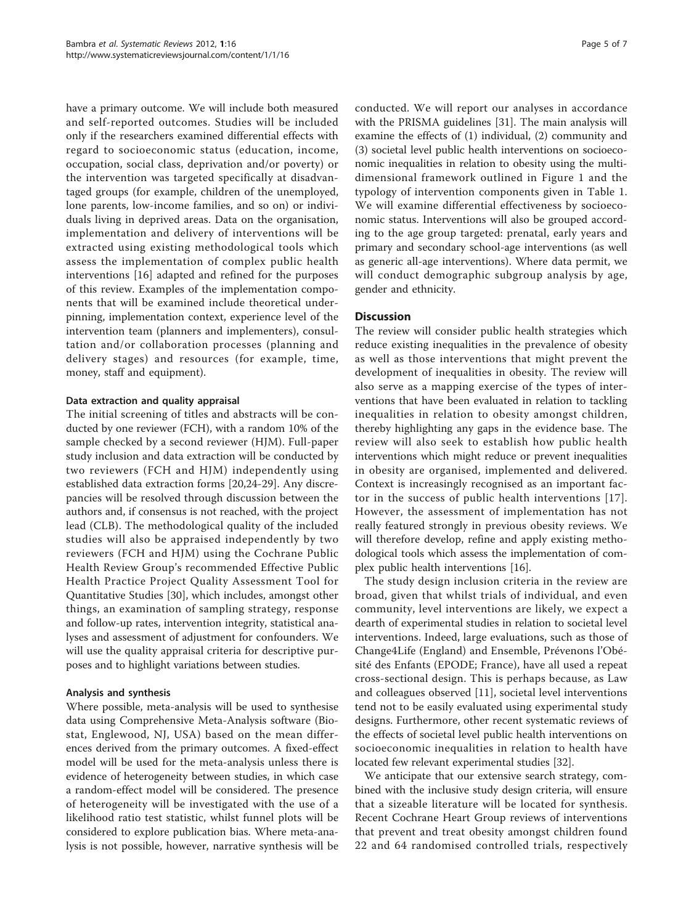have a primary outcome. We will include both measured and self-reported outcomes. Studies will be included only if the researchers examined differential effects with regard to socioeconomic status (education, income, occupation, social class, deprivation and/or poverty) or the intervention was targeted specifically at disadvantaged groups (for example, children of the unemployed, lone parents, low-income families, and so on) or individuals living in deprived areas. Data on the organisation, implementation and delivery of interventions will be extracted using existing methodological tools which assess the implementation of complex public health interventions [[16\]](#page-6-0) adapted and refined for the purposes of this review. Examples of the implementation components that will be examined include theoretical underpinning, implementation context, experience level of the intervention team (planners and implementers), consultation and/or collaboration processes (planning and delivery stages) and resources (for example, time, money, staff and equipment).

## Data extraction and quality appraisal

The initial screening of titles and abstracts will be conducted by one reviewer (FCH), with a random 10% of the sample checked by a second reviewer (HJM). Full-paper study inclusion and data extraction will be conducted by two reviewers (FCH and HJM) independently using established data extraction forms [\[20,24](#page-6-0)-[29\]](#page-6-0). Any discrepancies will be resolved through discussion between the authors and, if consensus is not reached, with the project lead (CLB). The methodological quality of the included studies will also be appraised independently by two reviewers (FCH and HJM) using the Cochrane Public Health Review Group's recommended Effective Public Health Practice Project Quality Assessment Tool for Quantitative Studies [\[30](#page-6-0)], which includes, amongst other things, an examination of sampling strategy, response and follow-up rates, intervention integrity, statistical analyses and assessment of adjustment for confounders. We will use the quality appraisal criteria for descriptive purposes and to highlight variations between studies.

## Analysis and synthesis

Where possible, meta-analysis will be used to synthesise data using Comprehensive Meta-Analysis software (Biostat, Englewood, NJ, USA) based on the mean differences derived from the primary outcomes. A fixed-effect model will be used for the meta-analysis unless there is evidence of heterogeneity between studies, in which case a random-effect model will be considered. The presence of heterogeneity will be investigated with the use of a likelihood ratio test statistic, whilst funnel plots will be considered to explore publication bias. Where meta-analysis is not possible, however, narrative synthesis will be conducted. We will report our analyses in accordance with the PRISMA guidelines [\[31\]](#page-6-0). The main analysis will examine the effects of (1) individual, (2) community and (3) societal level public health interventions on socioeconomic inequalities in relation to obesity using the multidimensional framework outlined in Figure [1](#page-2-0) and the typology of intervention components given in Table [1](#page-3-0). We will examine differential effectiveness by socioeconomic status. Interventions will also be grouped according to the age group targeted: prenatal, early years and primary and secondary school-age interventions (as well as generic all-age interventions). Where data permit, we will conduct demographic subgroup analysis by age, gender and ethnicity.

## **Discussion**

The review will consider public health strategies which reduce existing inequalities in the prevalence of obesity as well as those interventions that might prevent the development of inequalities in obesity. The review will also serve as a mapping exercise of the types of interventions that have been evaluated in relation to tackling inequalities in relation to obesity amongst children, thereby highlighting any gaps in the evidence base. The review will also seek to establish how public health interventions which might reduce or prevent inequalities in obesity are organised, implemented and delivered. Context is increasingly recognised as an important factor in the success of public health interventions [[17](#page-6-0)]. However, the assessment of implementation has not really featured strongly in previous obesity reviews. We will therefore develop, refine and apply existing methodological tools which assess the implementation of complex public health interventions [\[16\]](#page-6-0).

The study design inclusion criteria in the review are broad, given that whilst trials of individual, and even community, level interventions are likely, we expect a dearth of experimental studies in relation to societal level interventions. Indeed, large evaluations, such as those of Change4Life (England) and Ensemble, Prévenons l'Obésité des Enfants (EPODE; France), have all used a repeat cross-sectional design. This is perhaps because, as Law and colleagues observed [[11\]](#page-6-0), societal level interventions tend not to be easily evaluated using experimental study designs. Furthermore, other recent systematic reviews of the effects of societal level public health interventions on socioeconomic inequalities in relation to health have located few relevant experimental studies [[32\]](#page-6-0).

We anticipate that our extensive search strategy, combined with the inclusive study design criteria, will ensure that a sizeable literature will be located for synthesis. Recent Cochrane Heart Group reviews of interventions that prevent and treat obesity amongst children found 22 and 64 randomised controlled trials, respectively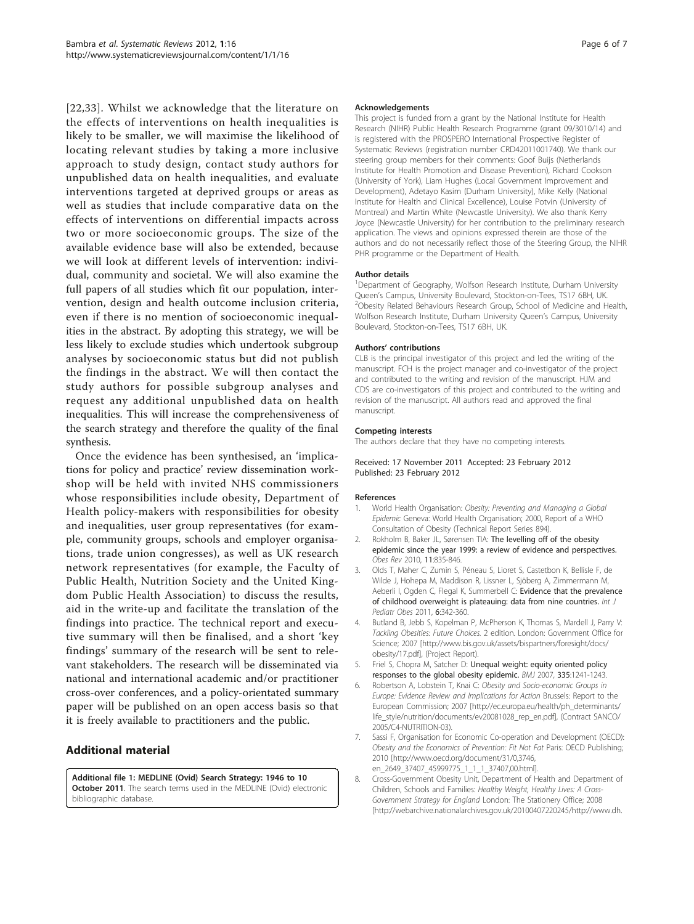<span id="page-5-0"></span>[[22](#page-6-0),[33](#page-6-0)]. Whilst we acknowledge that the literature on the effects of interventions on health inequalities is likely to be smaller, we will maximise the likelihood of locating relevant studies by taking a more inclusive approach to study design, contact study authors for unpublished data on health inequalities, and evaluate interventions targeted at deprived groups or areas as well as studies that include comparative data on the effects of interventions on differential impacts across two or more socioeconomic groups. The size of the available evidence base will also be extended, because we will look at different levels of intervention: individual, community and societal. We will also examine the full papers of all studies which fit our population, intervention, design and health outcome inclusion criteria, even if there is no mention of socioeconomic inequalities in the abstract. By adopting this strategy, we will be less likely to exclude studies which undertook subgroup analyses by socioeconomic status but did not publish the findings in the abstract. We will then contact the study authors for possible subgroup analyses and request any additional unpublished data on health inequalities. This will increase the comprehensiveness of the search strategy and therefore the quality of the final synthesis.

Once the evidence has been synthesised, an 'implications for policy and practice' review dissemination workshop will be held with invited NHS commissioners whose responsibilities include obesity, Department of Health policy-makers with responsibilities for obesity and inequalities, user group representatives (for example, community groups, schools and employer organisations, trade union congresses), as well as UK research network representatives (for example, the Faculty of Public Health, Nutrition Society and the United Kingdom Public Health Association) to discuss the results, aid in the write-up and facilitate the translation of the findings into practice. The technical report and executive summary will then be finalised, and a short 'key findings' summary of the research will be sent to relevant stakeholders. The research will be disseminated via national and international academic and/or practitioner cross-over conferences, and a policy-orientated summary paper will be published on an open access basis so that it is freely available to practitioners and the public.

## Additional material

[Additional file 1: M](http://www.biomedcentral.com/content/supplementary/2046-4053-1-16-S1.DOC)EDLINE (Ovid) Search Strategy: 1946 to 10 October 2011. The search terms used in the MEDLINE (Ovid) electronic bibliographic database.

#### Acknowledgements

This project is funded from a grant by the National Institute for Health Research (NIHR) Public Health Research Programme (grant 09/3010/14) and is registered with the PROSPERO International Prospective Register of Systematic Reviews (registration number CRD42011001740). We thank our steering group members for their comments: Goof Buijs (Netherlands Institute for Health Promotion and Disease Prevention), Richard Cookson (University of York), Liam Hughes (Local Government Improvement and Development), Adetayo Kasim (Durham University), Mike Kelly (National Institute for Health and Clinical Excellence), Louise Potvin (University of Montreal) and Martin White (Newcastle University). We also thank Kerry Joyce (Newcastle University) for her contribution to the preliminary research application. The views and opinions expressed therein are those of the authors and do not necessarily reflect those of the Steering Group, the NIHR PHR programme or the Department of Health.

#### Author details

<sup>1</sup>Department of Geography, Wolfson Research Institute, Durham University Queen's Campus, University Boulevard, Stockton-on-Tees, TS17 6BH, UK. <sup>2</sup>Obesity Related Behaviours Research Group, School of Medicine and Health, Wolfson Research Institute, Durham University Queen's Campus, University Boulevard, Stockton-on-Tees, TS17 6BH, UK.

#### Authors' contributions

CLB is the principal investigator of this project and led the writing of the manuscript. FCH is the project manager and co-investigator of the project and contributed to the writing and revision of the manuscript. HJM and CDS are co-investigators of this project and contributed to the writing and revision of the manuscript. All authors read and approved the final manuscript.

#### Competing interests

The authors declare that they have no competing interests.

#### Received: 17 November 2011 Accepted: 23 February 2012 Published: 23 February 2012

#### References

- 1. World Health Organisation: Obesity: Preventing and Managing a Global Epidemic Geneva: World Health Organisation; 2000, Report of a WHO Consultation of Obesity (Technical Report Series 894).
- 2. Rokholm B, Baker JL, Sørensen TIA: [The levelling off of the obesity](http://www.ncbi.nlm.nih.gov/pubmed/20973911?dopt=Abstract) [epidemic since the year 1999: a review of evidence and perspectives.](http://www.ncbi.nlm.nih.gov/pubmed/20973911?dopt=Abstract) Obes Rev 2010, 11:835-846.
- 3. Olds T, Maher C, Zumin S, Péneau S, Lioret S, Castetbon K, Bellisle F, de Wilde J, Hohepa M, Maddison R, Lissner L, Sjöberg A, Zimmermann M, Aeberli I, Ogden C, Flegal K, Summerbell C: [Evidence that the prevalence](http://www.ncbi.nlm.nih.gov/pubmed/21838570?dopt=Abstract) [of childhood overweight is plateauing: data from nine countries.](http://www.ncbi.nlm.nih.gov/pubmed/21838570?dopt=Abstract) Int J Pediatr Obes 2011, 6:342-360.
- 4. Butland B, Jebb S, Kopelman P, McPherson K, Thomas S, Mardell J, Parry V: Tackling Obesities: Future Choices. 2 edition. London: Government Office for Science; 2007 [[http://www.bis.gov.uk/assets/bispartners/foresight/docs/](http://www.bis.gov.uk/assets/bispartners/foresight/docs/obesity/17.pdf) [obesity/17.pdf\]](http://www.bis.gov.uk/assets/bispartners/foresight/docs/obesity/17.pdf), (Project Report).
- 5. Friel S, Chopra M, Satcher D: [Unequal weight: equity oriented policy](http://www.ncbi.nlm.nih.gov/pubmed/18079548?dopt=Abstract) [responses to the global obesity epidemic.](http://www.ncbi.nlm.nih.gov/pubmed/18079548?dopt=Abstract) BMJ 2007, 335:1241-1243.
- 6. Robertson A, Lobstein T, Knai C: Obesity and Socio-economic Groups in Europe: Evidence Review and Implications for Action Brussels: Report to the European Commission; 2007 [\[http://ec.europa.eu/health/ph\\_determinants/](http://ec.europa.eu/health/ph_determinants/life_style/nutrition/documents/ev20081028_rep_en.pdf) [life\\_style/nutrition/documents/ev20081028\\_rep\\_en.pdf\]](http://ec.europa.eu/health/ph_determinants/life_style/nutrition/documents/ev20081028_rep_en.pdf), (Contract SANCO/ 2005/C4-NUTRITION-03).
- 7. Sassi F, Organisation for Economic Co-operation and Development (OECD): Obesity and the Economics of Prevention: Fit Not Fat Paris: OECD Publishing; 2010 [\[http://www.oecd.org/document/31/0,3746,](http://www.oecd.org/document/31/0,3746,en_2649_37407_45999775_1_1_1_37407,00.html) [en\\_2649\\_37407\\_45999775\\_1\\_1\\_1\\_37407,00.html](http://www.oecd.org/document/31/0,3746,en_2649_37407_45999775_1_1_1_37407,00.html)].
- 8. Cross-Government Obesity Unit, Department of Health and Department of Children, Schools and Families: Healthy Weight, Healthy Lives: A Cross-Government Strategy for England London: The Stationery Office; 2008 [[http://webarchive.nationalarchives.gov.uk/20100407220245/http://www.dh.](http://webarchive.nationalarchives.gov.uk/20100407220245/http://www.dh.gov.uk/prod_consum_dh/groups/dh_digitalassets/documents/digitalasset/dh_084024.pdf)